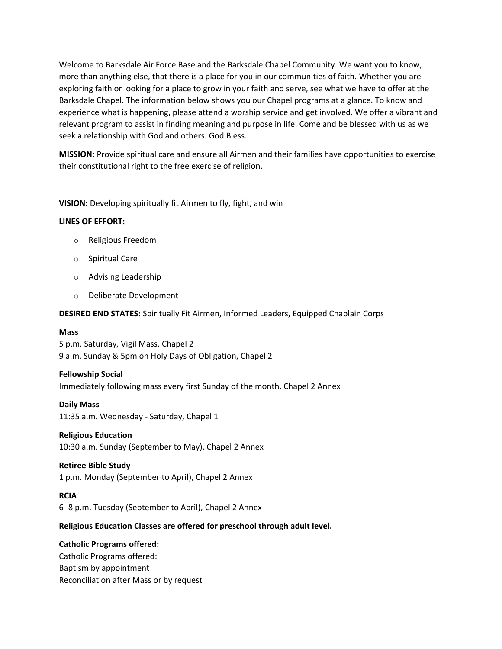Welcome to Barksdale Air Force Base and the Barksdale Chapel Community. We want you to know, more than anything else, that there is a place for you in our communities of faith. Whether you are exploring faith or looking for a place to grow in your faith and serve, see what we have to offer at the Barksdale Chapel. The information below shows you our Chapel programs at a glance. To know and experience what is happening, please attend a worship service and get involved. We offer a vibrant and relevant program to assist in finding meaning and purpose in life. Come and be blessed with us as we seek a relationship with God and others. God Bless.

**MISSION:** Provide spiritual care and ensure all Airmen and their families have opportunities to exercise their constitutional right to the free exercise of religion.

**VISION:** Developing spiritually fit Airmen to fly, fight, and win

# **LINES OF EFFORT:**

- o Religious Freedom
- o Spiritual Care
- o Advising Leadership
- o Deliberate Development

**DESIRED END STATES:** Spiritually Fit Airmen, Informed Leaders, Equipped Chaplain Corps

### **Mass**

5 p.m. Saturday, Vigil Mass, Chapel 2 9 a.m. Sunday & 5pm on Holy Days of Obligation, Chapel 2

# **Fellowship Social**

Immediately following mass every first Sunday of the month, Chapel 2 Annex

# **Daily Mass**

11:35 a.m. Wednesday - Saturday, Chapel 1

# **Religious Education**

10:30 a.m. Sunday (September to May), Chapel 2 Annex

# **Retiree Bible Study**

1 p.m. Monday (September to April), Chapel 2 Annex

### **RCIA**

6 -8 p.m. Tuesday (September to April), Chapel 2 Annex

# **Religious Education Classes are offered for preschool through adult level.**

# **Catholic Programs offered:**

Catholic Programs offered: Baptism by appointment Reconciliation after Mass or by request